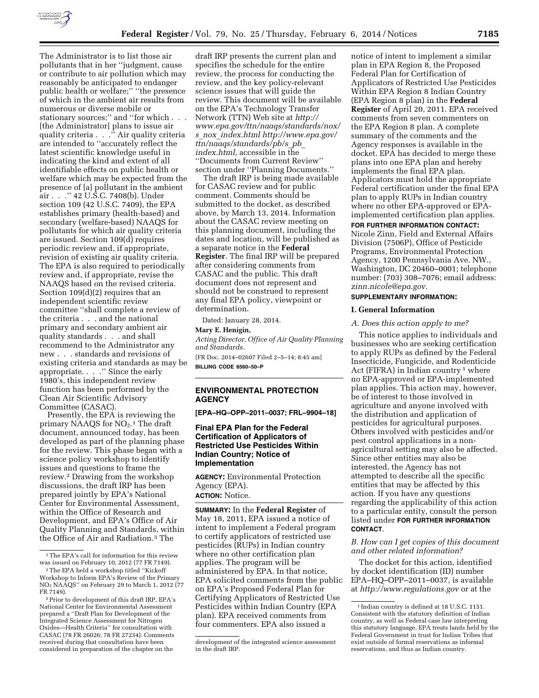

The Administrator is to list those air pollutants that in her ''judgment, cause or contribute to air pollution which may reasonably be anticipated to endanger public health or welfare;'' ''the presence of which in the ambient air results from numerous or diverse mobile or stationary sources;" and "for which . . . [the Administrator] plans to issue air quality criteria . . .'' Air quality criteria are intended to ''accurately reflect the latest scientific knowledge useful in indicating the kind and extent of all identifiable effects on public health or welfare which may be expected from the presence of [a] pollutant in the ambient air . . .'' 42 U.S.C. 7408(b). Under section 109 (42 U.S.C. 7409), the EPA establishes primary (health-based) and secondary (welfare-based) NAAQS for pollutants for which air quality criteria are issued. Section 109(d) requires periodic review and, if appropriate, revision of existing air quality criteria. The EPA is also required to periodically review and, if appropriate, revise the NAAQS based on the revised criteria. Section 109(d)(2) requires that an independent scientific review committee ''shall complete a review of the criteria . . . and the national primary and secondary ambient air quality standards . . . and shall recommend to the Administrator any new . . . standards and revisions of existing criteria and standards as may be appropriate. . . .'' Since the early 1980's, this independent review function has been performed by the Clean Air Scientific Advisory Committee (CASAC).

Presently, the EPA is reviewing the primary NAAQS for NO<sub>2</sub>.<sup>1</sup> The draft document, announced today, has been developed as part of the planning phase for the review. This phase began with a science policy workshop to identify issues and questions to frame the review.2 Drawing from the workshop discussions, the draft IRP has been prepared jointly by EPA's National Center for Environmental Assessment, within the Office of Research and Development, and EPA's Office of Air Quality Planning and Standards, within the Office of Air and Radiation.3 The

draft IRP presents the current plan and specifies the schedule for the entire review, the process for conducting the review, and the key policy-relevant science issues that will guide the review. This document will be available on the EPA's Technology Transfer Network (TTN) Web site at *[http://](http://www.epa.gov/ttn/naaqs/standards/nox/s_nox_index.html) [www.epa.gov/ttn/naaqs/standards/nox/](http://www.epa.gov/ttn/naaqs/standards/nox/s_nox_index.html) s*\_*nox*\_*[index.html](http://www.epa.gov/ttn/naaqs/standards/nox/s_nox_index.html) [http://www.epa.gov/](http://www.epa.gov/ttn/naaqs/standards/pb/s_pb_index.html) [ttn/naaqs/standards/pb/s](http://www.epa.gov/ttn/naaqs/standards/pb/s_pb_index.html)*\_*pb*\_ *[index.html,](http://www.epa.gov/ttn/naaqs/standards/pb/s_pb_index.html)* accessible in the ''Documents from Current Review'' section under ''Planning Documents.''

The draft IRP is being made available for CASAC review and for public comment. Comments should be submitted to the docket, as described above, by March 13, 2014. Information about the CASAC review meeting on this planning document, including the dates and location, will be published as a separate notice in the **Federal Register**. The final IRP will be prepared after considering comments from CASAC and the public. This draft document does not represent and should not be construed to represent any final EPA policy, viewpoint or determination.

Dated: January 28, 2014.

## **Mary E. Henigin,**

*Acting Director, Office of Air Quality Planning and Standards.* 

[FR Doc. 2014–02607 Filed 2–5–14; 8:45 am] **BILLING CODE 6560–50–P** 

## **ENVIRONMENTAL PROTECTION AGENCY**

**[EPA–HQ–OPP–2011–0037; FRL–9904–18]** 

## **Final EPA Plan for the Federal Certification of Applicators of Restricted Use Pesticides Within Indian Country; Notice of Implementation**

**AGENCY:** Environmental Protection Agency (EPA). **ACTION:** Notice.

**SUMMARY:** In the **Federal Register** of May 18, 2011, EPA issued a notice of intent to implement a Federal program to certify applicators of restricted use pesticides (RUPs) in Indian country where no other certification plan applies. The program will be administered by EPA. In that notice, EPA solicited comments from the public on EPA's Proposed Federal Plan for Certifying Applicators of Restricted Use Pesticides within Indian Country (EPA plan). EPA received comments from four commenters. EPA also issued a

notice of intent to implement a similar plan in EPA Region 8, the Proposed Federal Plan for Certification of Applicators of Restricted Use Pesticides Within EPA Region 8 Indian Country (EPA Region 8 plan) in the **Federal Register** of April 20, 2011. EPA received comments from seven commenters on the EPA Region 8 plan. A complete summary of the comments and the Agency responses is available in the docket. EPA has decided to merge these plans into one EPA plan and hereby implements the final EPA plan. Applicators must hold the appropriate Federal certification under the final EPA plan to apply RUPs in Indian country where no other EPA-approved or EPAimplemented certification plan applies.

**FOR FURTHER INFORMATION CONTACT:** 

Nicole Zinn, Field and External Affairs Division (7506P), Office of Pesticide Programs, Environmental Protection Agency, 1200 Pennsylvania Ave. NW., Washington, DC 20460–0001; telephone number: (703) 308–7076; email address: *[zinn.nicole@epa.gov.](mailto:zinn.nicole@epa.gov)* 

## **SUPPLEMENTARY INFORMATION:**

## **I. General Information**

## *A. Does this action apply to me?*

This notice applies to individuals and businesses who are seeking certification to apply RUPs as defined by the Federal Insecticide, Fungicide, and Rodenticide Act (FIFRA) in Indian country<sup>1</sup> where no EPA-approved or EPA-implemented plan applies. This action may, however, be of interest to those involved in agriculture and anyone involved with the distribution and application of pesticides for agricultural purposes. Others involved with pesticides and/or pest control applications in a nonagricultural setting may also be affected. Since other entities may also be interested, the Agency has not attempted to describe all the specific entities that may be affected by this action. If you have any questions regarding the applicability of this action to a particular entity, consult the person listed under **FOR FURTHER INFORMATION CONTACT**.

# *B. How can I get copies of this document and other related information?*

The docket for this action, identified by docket identification (ID) number EPA–HQ–OPP–2011–0037, is available at *<http://www.regulations.gov>* or at the

<sup>&</sup>lt;sup>1</sup>The EPA's call for information for this review was issued on February 10, 2012 (77 FR 7149).

<sup>2</sup>The EPA held a workshop titled ''Kickoff Workshop to Inform EPA's Review of the Primary NO2 NAAQS'' on February 29 to March 1, 2012 (77 FR 7149).

<sup>3</sup>Prior to development of this draft IRP, EPA's National Center for Environmental Assessment prepared a ''Draft Plan for Development of the Integrated Science Assessment for Nitrogen Oxides—Health Criteria'' for consultation with CASAC (78 FR 26026; 78 FR 27234). Comments received during that consultation have been considered in preparation of the chapter on the

development of the integrated science assessment in the draft IRP.

<sup>1</sup> Indian country is defined at 18 U.S.C. 1151. Consistent with the statutory definition of Indian country, as well as Federal case law interpreting this statutory language, EPA treats lands held by the Federal Government in trust for Indian Tribes that exist outside of formal reservations as informal reservations, and thus as Indian country.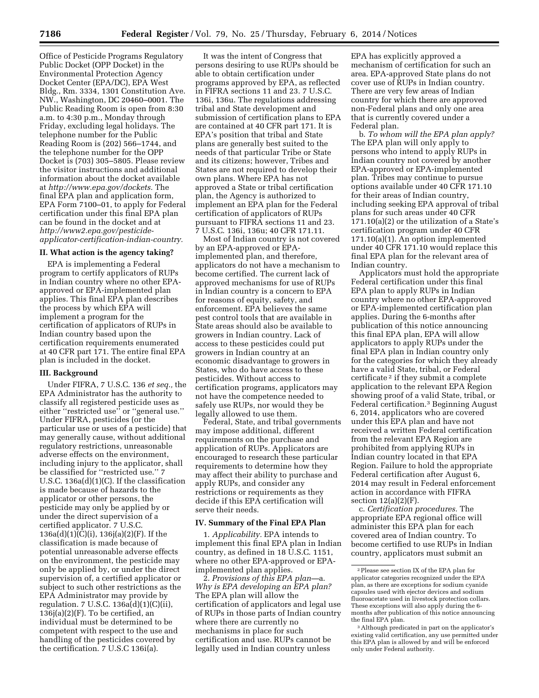Office of Pesticide Programs Regulatory Public Docket (OPP Docket) in the Environmental Protection Agency Docket Center (EPA/DC), EPA West Bldg., Rm. 3334, 1301 Constitution Ave. NW., Washington, DC 20460–0001. The Public Reading Room is open from 8:30 a.m. to 4:30 p.m., Monday through Friday, excluding legal holidays. The telephone number for the Public Reading Room is (202) 566–1744, and the telephone number for the OPP Docket is (703) 305–5805. Please review the visitor instructions and additional information about the docket available at *[http://www.epa.gov/dockets.](http://www.epa.gov/dockets)* The final EPA plan and application form, EPA Form 7100–01, to apply for Federal certification under this final EPA plan can be found in the docket and at *[http://www2.epa.gov/pesticide](http://www2.epa.gov/pesticide-applicator-certification-indian-country)[applicator-certification-indian-country.](http://www2.epa.gov/pesticide-applicator-certification-indian-country)* 

#### **II. What action is the agency taking?**

EPA is implementing a Federal program to certify applicators of RUPs in Indian country where no other EPAapproved or EPA-implemented plan applies. This final EPA plan describes the process by which EPA will implement a program for the certification of applicators of RUPs in Indian country based upon the certification requirements enumerated at 40 CFR part 171. The entire final EPA plan is included in the docket.

## **III. Background**

Under FIFRA, 7 U.S.C. 136 *et seq.,* the EPA Administrator has the authority to classify all registered pesticide uses as either ''restricted use'' or ''general use.'' Under FIFRA, pesticides (or the particular use or uses of a pesticide) that may generally cause, without additional regulatory restrictions, unreasonable adverse effects on the environment, including injury to the applicator, shall be classified for ''restricted use.'' 7 U.S.C. 136a(d)(1)(C). If the classification is made because of hazards to the applicator or other persons, the pesticide may only be applied by or under the direct supervision of a certified applicator. 7 U.S.C. 136a(d)(1)(C)(i), 136j(a)(2)(F). If the classification is made because of potential unreasonable adverse effects on the environment, the pesticide may only be applied by, or under the direct supervision of, a certified applicator or subject to such other restrictions as the EPA Administrator may provide by regulation. 7 U.S.C. 136a(d)(1)(C)(ii),  $136$  $(a)(2)(F)$ . To be certified, an individual must be determined to be competent with respect to the use and handling of the pesticides covered by the certification. 7 U.S.C 136i(a).

It was the intent of Congress that persons desiring to use RUPs should be able to obtain certification under programs approved by EPA, as reflected in FIFRA sections 11 and 23. 7 U.S.C. 136i, 136u. The regulations addressing tribal and State development and submission of certification plans to EPA are contained at 40 CFR part 171. It is EPA's position that tribal and State plans are generally best suited to the needs of that particular Tribe or State and its citizens; however, Tribes and States are not required to develop their own plans. Where EPA has not approved a State or tribal certification plan, the Agency is authorized to implement an EPA plan for the Federal certification of applicators of RUPs pursuant to FIFRA sections 11 and 23. 7 U.S.C. 136i, 136u; 40 CFR 171.11.

Most of Indian country is not covered by an EPA-approved or EPAimplemented plan, and therefore, applicators do not have a mechanism to become certified. The current lack of approved mechanisms for use of RUPs in Indian country is a concern to EPA for reasons of equity, safety, and enforcement. EPA believes the same pest control tools that are available in State areas should also be available to growers in Indian country. Lack of access to these pesticides could put growers in Indian country at an economic disadvantage to growers in States, who do have access to these pesticides. Without access to certification programs, applicators may not have the competence needed to safely use RUPs, nor would they be legally allowed to use them.

Federal, State, and tribal governments may impose additional, different requirements on the purchase and application of RUPs. Applicators are encouraged to research these particular requirements to determine how they may affect their ability to purchase and apply RUPs, and consider any restrictions or requirements as they decide if this EPA certification will serve their needs.

### **IV. Summary of the Final EPA Plan**

1. *Applicability.* EPA intends to implement this final EPA plan in Indian country, as defined in 18 U.S.C. 1151, where no other EPA-approved or EPAimplemented plan applies.

2. *Provisions of this EPA plan—*a. *Why is EPA developing an EPA plan?*  The EPA plan will allow the certification of applicators and legal use of RUPs in those parts of Indian country where there are currently no mechanisms in place for such certification and use. RUPs cannot be legally used in Indian country unless

EPA has explicitly approved a mechanism of certification for such an area. EPA-approved State plans do not cover use of RUPs in Indian country. There are very few areas of Indian country for which there are approved non-Federal plans and only one area that is currently covered under a Federal plan.

b. *To whom will the EPA plan apply?*  The EPA plan will only apply to persons who intend to apply RUPs in Indian country not covered by another EPA-approved or EPA-implemented plan. Tribes may continue to pursue options available under 40 CFR 171.10 for their areas of Indian country, including seeking EPA approval of tribal plans for such areas under 40 CFR 171.10(a)(2) or the utilization of a State's certification program under 40 CFR 171.10(a)(1). An option implemented under 40 CFR 171.10 would replace this final EPA plan for the relevant area of Indian country.

Applicators must hold the appropriate Federal certification under this final EPA plan to apply RUPs in Indian country where no other EPA-approved or EPA-implemented certification plan applies. During the 6-months after publication of this notice announcing this final EPA plan, EPA will allow applicators to apply RUPs under the final EPA plan in Indian country only for the categories for which they already have a valid State, tribal, or Federal certificate 2 if they submit a complete application to the relevant EPA Region showing proof of a valid State, tribal, or Federal certification.3 Beginning August 6, 2014, applicators who are covered under this EPA plan and have not received a written Federal certification from the relevant EPA Region are prohibited from applying RUPs in Indian country located in that EPA Region. Failure to hold the appropriate Federal certification after August 6, 2014 may result in Federal enforcement action in accordance with FIFRA section  $12(a)(2)(F)$ .

c. *Certification procedures.* The appropriate EPA regional office will administer this EPA plan for each covered area of Indian country. To become certified to use RUPs in Indian country, applicators must submit an

<sup>2</sup>Please see section IX of the EPA plan for applicator categories recognized under the EPA plan, as there are exceptions for sodium cyanide capsules used with ejector devices and sodium fluoroacetate used in livestock protection collars. These exceptions will also apply during the 6 months after publication of this notice announcing the final EPA plan.

<sup>3</sup>Although predicated in part on the applicator's existing valid certification, any use permitted under this EPA plan is allowed by and will be enforced only under Federal authority.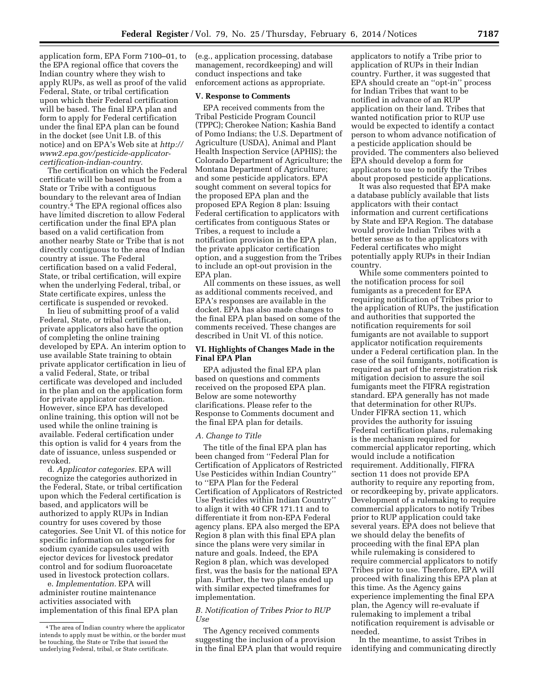application form, EPA Form 7100–01, to the EPA regional office that covers the Indian country where they wish to apply RUPs, as well as proof of the valid Federal, State, or tribal certification upon which their Federal certification will be based. The final EPA plan and form to apply for Federal certification under the final EPA plan can be found in the docket (see Unit I.B. of this notice) and on EPA's Web site at *[http://](http://www2.epa.gov/pesticide-applicator-certification-indian-country) [www2.epa.gov/pesticide-applicator](http://www2.epa.gov/pesticide-applicator-certification-indian-country)[certification-indian-country.](http://www2.epa.gov/pesticide-applicator-certification-indian-country)* 

The certification on which the Federal certificate will be based must be from a State or Tribe with a contiguous boundary to the relevant area of Indian country.4 The EPA regional offices also have limited discretion to allow Federal certification under the final EPA plan based on a valid certification from another nearby State or Tribe that is not directly contiguous to the area of Indian country at issue. The Federal certification based on a valid Federal, State, or tribal certification, will expire when the underlying Federal, tribal, or State certificate expires, unless the certificate is suspended or revoked.

In lieu of submitting proof of a valid Federal, State, or tribal certification, private applicators also have the option of completing the online training developed by EPA. An interim option to use available State training to obtain private applicator certification in lieu of a valid Federal, State, or tribal certificate was developed and included in the plan and on the application form for private applicator certification. However, since EPA has developed online training, this option will not be used while the online training is available. Federal certification under this option is valid for 4 years from the date of issuance, unless suspended or revoked.

d. *Applicator categories.* EPA will recognize the categories authorized in the Federal, State, or tribal certification upon which the Federal certification is based, and applicators will be authorized to apply RUPs in Indian country for uses covered by those categories. See Unit VI. of this notice for specific information on categories for sodium cyanide capsules used with ejector devices for livestock predator control and for sodium fluoroacetate used in livestock protection collars.

e. *Implementation.* EPA will administer routine maintenance activities associated with implementation of this final EPA plan

(e.g., application processing, database management, recordkeeping) and will conduct inspections and take enforcement actions as appropriate.

### **V. Response to Comments**

EPA received comments from the Tribal Pesticide Program Council (TPPC); Cherokee Nation; Kashia Band of Pomo Indians; the U.S. Department of Agriculture (USDA), Animal and Plant Health Inspection Service (APHIS); the Colorado Department of Agriculture; the Montana Department of Agriculture; and some pesticide applicators. EPA sought comment on several topics for the proposed EPA plan and the proposed EPA Region 8 plan: Issuing Federal certification to applicators with certificates from contiguous States or Tribes, a request to include a notification provision in the EPA plan, the private applicator certification option, and a suggestion from the Tribes to include an opt-out provision in the EPA plan.

All comments on these issues, as well as additional comments received, and EPA's responses are available in the docket. EPA has also made changes to the final EPA plan based on some of the comments received. These changes are described in Unit VI. of this notice.

## **VI. Highlights of Changes Made in the Final EPA Plan**

EPA adjusted the final EPA plan based on questions and comments received on the proposed EPA plan. Below are some noteworthy clarifications. Please refer to the Response to Comments document and the final EPA plan for details.

#### *A. Change to Title*

The title of the final EPA plan has been changed from ''Federal Plan for Certification of Applicators of Restricted Use Pesticides within Indian Country'' to ''EPA Plan for the Federal Certification of Applicators of Restricted Use Pesticides within Indian Country'' to align it with 40 CFR 171.11 and to differentiate it from non-EPA Federal agency plans. EPA also merged the EPA Region 8 plan with this final EPA plan since the plans were very similar in nature and goals. Indeed, the EPA Region 8 plan, which was developed first, was the basis for the national EPA plan. Further, the two plans ended up with similar expected timeframes for implementation.

## *B. Notification of Tribes Prior to RUP Use*

The Agency received comments suggesting the inclusion of a provision in the final EPA plan that would require

applicators to notify a Tribe prior to application of RUPs in their Indian country. Further, it was suggested that EPA should create an ''opt-in'' process for Indian Tribes that want to be notified in advance of an RUP application on their land. Tribes that wanted notification prior to RUP use would be expected to identify a contact person to whom advance notification of a pesticide application should be provided. The commenters also believed EPA should develop a form for applicators to use to notify the Tribes about proposed pesticide applications.

It was also requested that EPA make a database publicly available that lists applicators with their contact information and current certifications by State and EPA Region. The database would provide Indian Tribes with a better sense as to the applicators with Federal certificates who might potentially apply RUPs in their Indian country.

While some commenters pointed to the notification process for soil fumigants as a precedent for EPA requiring notification of Tribes prior to the application of RUPs, the justification and authorities that supported the notification requirements for soil fumigants are not available to support applicator notification requirements under a Federal certification plan. In the case of the soil fumigants, notification is required as part of the reregistration risk mitigation decision to assure the soil fumigants meet the FIFRA registration standard. EPA generally has not made that determination for other RUPs. Under FIFRA section 11, which provides the authority for issuing Federal certification plans, rulemaking is the mechanism required for commercial applicator reporting, which would include a notification requirement. Additionally, FIFRA section 11 does not provide EPA authority to require any reporting from, or recordkeeping by, private applicators. Development of a rulemaking to require commercial applicators to notify Tribes prior to RUP application could take several years. EPA does not believe that we should delay the benefits of proceeding with the final EPA plan while rulemaking is considered to require commercial applicators to notify Tribes prior to use. Therefore, EPA will proceed with finalizing this EPA plan at this time. As the Agency gains experience implementing the final EPA plan, the Agency will re-evaluate if rulemaking to implement a tribal notification requirement is advisable or needed.

In the meantime, to assist Tribes in identifying and communicating directly

<sup>4</sup>The area of Indian country where the applicator intends to apply must be within, or the border must be touching, the State or Tribe that issued the underlying Federal, tribal, or State certificate.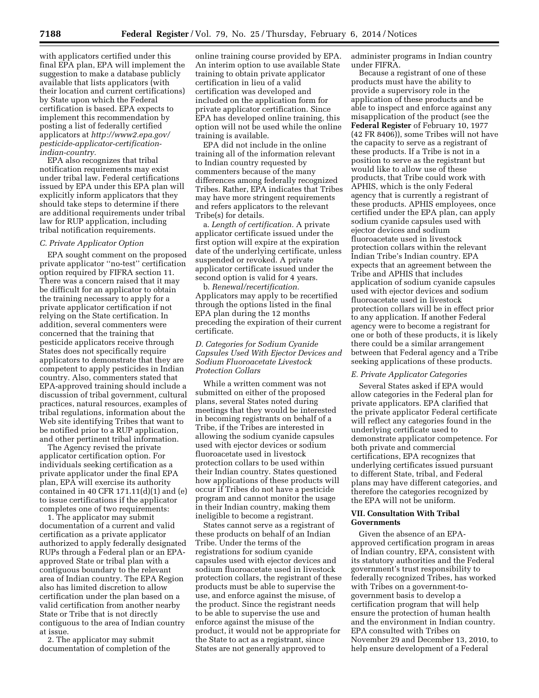with applicators certified under this final EPA plan, EPA will implement the suggestion to make a database publicly available that lists applicators (with their location and current certifications) by State upon which the Federal certification is based. EPA expects to implement this recommendation by posting a list of federally certified applicators at *[http://www2.epa.gov/](http://www2.epa.gov/pesticide-applicator-certification-indian-country) [pesticide-applicator-certification](http://www2.epa.gov/pesticide-applicator-certification-indian-country)[indian-country.](http://www2.epa.gov/pesticide-applicator-certification-indian-country)* 

EPA also recognizes that tribal notification requirements may exist under tribal law. Federal certifications issued by EPA under this EPA plan will explicitly inform applicators that they should take steps to determine if there are additional requirements under tribal law for RUP application, including tribal notification requirements.

#### *C. Private Applicator Option*

EPA sought comment on the proposed private applicator ''no-test'' certification option required by FIFRA section 11. There was a concern raised that it may be difficult for an applicator to obtain the training necessary to apply for a private applicator certification if not relying on the State certification. In addition, several commenters were concerned that the training that pesticide applicators receive through States does not specifically require applicators to demonstrate that they are competent to apply pesticides in Indian country. Also, commenters stated that EPA-approved training should include a discussion of tribal government, cultural practices, natural resources, examples of tribal regulations, information about the Web site identifying Tribes that want to be notified prior to a RUP application, and other pertinent tribal information.

The Agency revised the private applicator certification option. For individuals seeking certification as a private applicator under the final EPA plan, EPA will exercise its authority contained in 40 CFR 171.11(d)(1) and (e) to issue certifications if the applicator completes one of two requirements:

1. The applicator may submit documentation of a current and valid certification as a private applicator authorized to apply federally designated RUPs through a Federal plan or an EPAapproved State or tribal plan with a contiguous boundary to the relevant area of Indian country. The EPA Region also has limited discretion to allow certification under the plan based on a valid certification from another nearby State or Tribe that is not directly contiguous to the area of Indian country at issue.

2. The applicator may submit documentation of completion of the

online training course provided by EPA. An interim option to use available State training to obtain private applicator certification in lieu of a valid certification was developed and included on the application form for private applicator certification. Since EPA has developed online training, this option will not be used while the online training is available.

EPA did not include in the online training all of the information relevant to Indian country requested by commenters because of the many differences among federally recognized Tribes. Rather, EPA indicates that Tribes may have more stringent requirements and refers applicators to the relevant Tribe(s) for details.

a. *Length of certification.* A private applicator certificate issued under the first option will expire at the expiration date of the underlying certificate, unless suspended or revoked. A private applicator certificate issued under the second option is valid for 4 years.

b. *Renewal/recertification.*  Applicators may apply to be recertified through the options listed in the final EPA plan during the 12 months preceding the expiration of their current certificate.

## *D. Categories for Sodium Cyanide Capsules Used With Ejector Devices and Sodium Fluoroacetate Livestock Protection Collars*

While a written comment was not submitted on either of the proposed plans, several States noted during meetings that they would be interested in becoming registrants on behalf of a Tribe, if the Tribes are interested in allowing the sodium cyanide capsules used with ejector devices or sodium fluoroacetate used in livestock protection collars to be used within their Indian country. States questioned how applications of these products will occur if Tribes do not have a pesticide program and cannot monitor the usage in their Indian country, making them ineligible to become a registrant.

States cannot serve as a registrant of these products on behalf of an Indian Tribe. Under the terms of the registrations for sodium cyanide capsules used with ejector devices and sodium fluoroacetate used in livestock protection collars, the registrant of these products must be able to supervise the use, and enforce against the misuse, of the product. Since the registrant needs to be able to supervise the use and enforce against the misuse of the product, it would not be appropriate for the State to act as a registrant, since States are not generally approved to

administer programs in Indian country under FIFRA.

Because a registrant of one of these products must have the ability to provide a supervisory role in the application of these products and be able to inspect and enforce against any misapplication of the product (see the **Federal Register** of February 10, 1977 (42 FR 8406)), some Tribes will not have the capacity to serve as a registrant of these products. If a Tribe is not in a position to serve as the registrant but would like to allow use of these products, that Tribe could work with APHIS, which is the only Federal agency that is currently a registrant of these products. APHIS employees, once certified under the EPA plan, can apply sodium cyanide capsules used with ejector devices and sodium fluoroacetate used in livestock protection collars within the relevant Indian Tribe's Indian country. EPA expects that an agreement between the Tribe and APHIS that includes application of sodium cyanide capsules used with ejector devices and sodium fluoroacetate used in livestock protection collars will be in effect prior to any application. If another Federal agency were to become a registrant for one or both of these products, it is likely there could be a similar arrangement between that Federal agency and a Tribe seeking applications of these products.

## *E. Private Applicator Categories*

Several States asked if EPA would allow categories in the Federal plan for private applicators. EPA clarified that the private applicator Federal certificate will reflect any categories found in the underlying certificate used to demonstrate applicator competence. For both private and commercial certifications, EPA recognizes that underlying certificates issued pursuant to different State, tribal, and Federal plans may have different categories, and therefore the categories recognized by the EPA will not be uniform.

## **VII. Consultation With Tribal Governments**

Given the absence of an EPAapproved certification program in areas of Indian country, EPA, consistent with its statutory authorities and the Federal government's trust responsibility to federally recognized Tribes, has worked with Tribes on a government-togovernment basis to develop a certification program that will help ensure the protection of human health and the environment in Indian country. EPA consulted with Tribes on November 29 and December 13, 2010, to help ensure development of a Federal